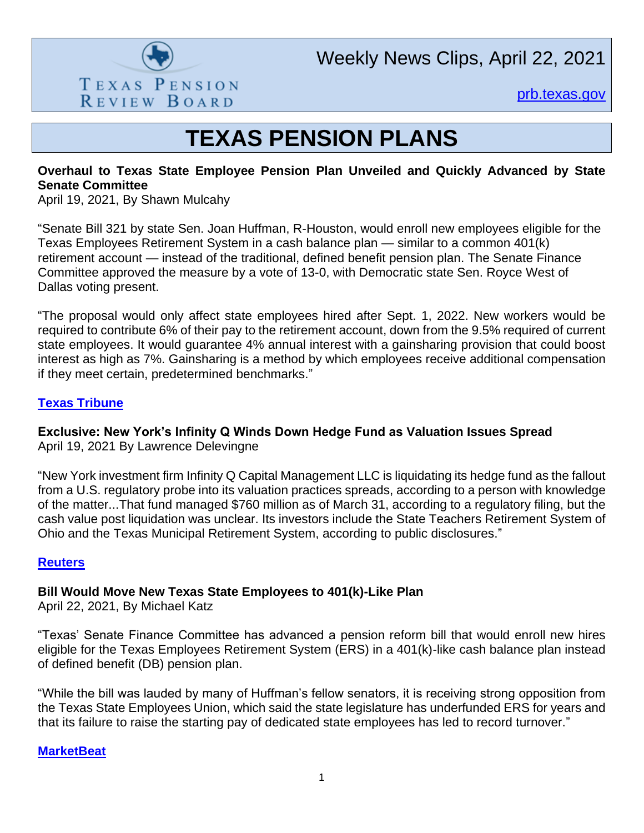

[prb.texas.gov](http://www.prb.texas.gov/)

# **TEXAS PENSION PLANS**

#### **Overhaul to Texas State Employee Pension Plan Unveiled and Quickly Advanced by State Senate Committee**

April 19, 2021, By Shawn Mulcahy

"Senate Bill 321 by state Sen. Joan Huffman, R-Houston, would enroll new employees eligible for the Texas Employees Retirement System in a cash balance plan — similar to a common 401(k) retirement account — instead of the traditional, defined benefit pension plan. The Senate Finance Committee approved the measure by a vote of 13-0, with Democratic state Sen. Royce West of Dallas voting present.

"The proposal would only affect state employees hired after Sept. 1, 2022. New workers would be required to contribute 6% of their pay to the retirement account, down from the 9.5% required of current state employees. It would guarantee 4% annual interest with a gainsharing provision that could boost interest as high as 7%. Gainsharing is a method by which employees receive additional compensation if they meet certain, predetermined benchmarks."

#### **[Texas Tribune](https://www.texastribune.org/2021/04/19/texas-senate-pension-overhaul/)**

## **Exclusive: New York's Infinity Q Winds Down Hedge Fund as Valuation Issues Spread**

April 19, 2021 By Lawrence Delevingne

"New York investment firm Infinity Q Capital Management LLC is liquidating its hedge fund as the fallout from a U.S. regulatory probe into its valuation practices spreads, according to a person with knowledge of the matter...That fund managed \$760 million as of March 31, according to a regulatory filing, but the cash value post liquidation was unclear. Its investors include the State Teachers Retirement System of Ohio and the Texas Municipal Retirement System, according to public disclosures."

#### **[Reuters](https://www.reuters.com/business/finance/exclusive-new-yorks-infinity-q-winds-down-hedge-fund-valuation-issues-spread-2021-04-19/)**

## **Bill Would Move New Texas State Employees to 401(k)-Like Plan**

April 22, 2021, By Michael Katz

"Texas' Senate Finance Committee has advanced a pension reform bill that would enroll new hires eligible for the Texas Employees Retirement System (ERS) in a 401(k)-like cash balance plan instead of defined benefit (DB) pension plan.

"While the bill was lauded by many of Huffman's fellow senators, it is receiving strong opposition from the Texas State Employees Union, which said the state legislature has underfunded ERS for years and that its failure to raise the starting pay of dedicated state employees has led to record turnover."

#### **[MarketBeat](https://www.marketbeat.com/instant-alerts/nasdaq-regi-consensus-analyst-rating-2021-04-2-3/)**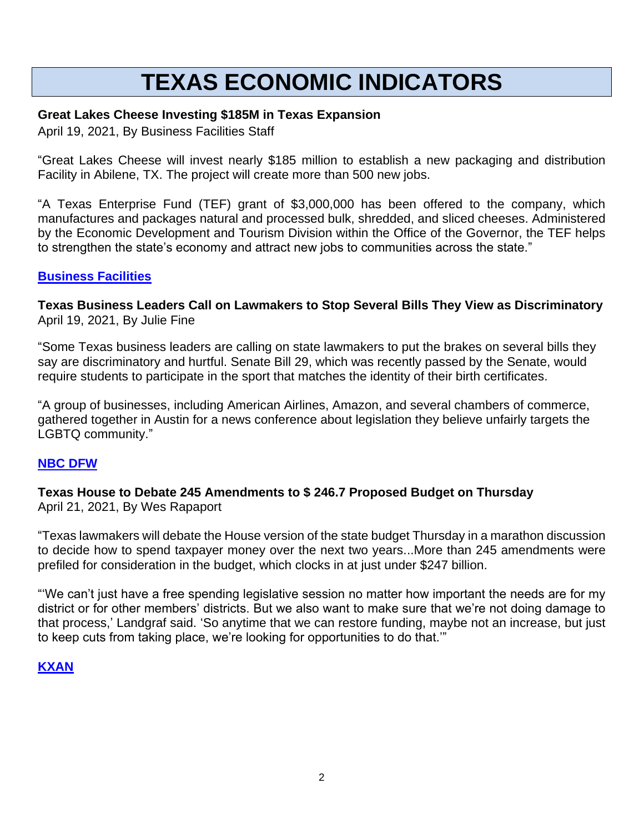# **TEXAS ECONOMIC INDICATORS**

## **Great Lakes Cheese Investing \$185M in Texas Expansion**

April 19, 2021, By Business Facilities Staff

"Great Lakes Cheese will invest nearly \$185 million to establish a new packaging and distribution Facility in Abilene, TX. The project will create more than 500 new jobs.

"A Texas Enterprise Fund (TEF) grant of \$3,000,000 has been offered to the company, which manufactures and packages natural and processed bulk, shredded, and sliced cheeses. Administered by the Economic Development and Tourism Division within the Office of the Governor, the TEF helps to strengthen the state's economy and attract new jobs to communities across the state."

## **[Business Facilities](https://businessfacilities.com/2021/04/great-lakes-cheese-investing-185m-in-texas-expansion/)**

**Texas Business Leaders Call on Lawmakers to Stop Several Bills They View as Discriminatory** April 19, 2021, By Julie Fine

"Some Texas business leaders are calling on state lawmakers to put the brakes on several bills they say are discriminatory and hurtful. Senate Bill 29, which was recently passed by the Senate, would require students to participate in the sport that matches the identity of their birth certificates.

"A group of businesses, including American Airlines, Amazon, and several chambers of commerce, gathered together in Austin for a news conference about legislation they believe unfairly targets the LGBTQ community."

## **[NBC DFW](https://www.nbcdfw.com/news/politics/texas-politics/texas-business-leaders-call-on-lawmakers-to-stop-several-bills-they-view-as-discriminatory/2609719/)**

**Texas House to Debate 245 Amendments to \$ 246.7 Proposed Budget on Thursday** April 21, 2021, By Wes Rapaport

"Texas lawmakers will debate the House version of the state budget Thursday in a marathon discussion to decide how to spend taxpayer money over the next two years...More than 245 amendments were prefiled for consideration in the budget, which clocks in at just under \$247 billion.

"'We can't just have a free spending legislative session no matter how important the needs are for my district or for other members' districts. But we also want to make sure that we're not doing damage to that process,' Landgraf said. 'So anytime that we can restore funding, maybe not an increase, but just to keep cuts from taking place, we're looking for opportunities to do that.'"

## **[KXAN](https://www.kxan.com/news/texas-politics/texas-house-to-debate-245-amendments-to-246-7b-proposed-budget-on-thursday/)**